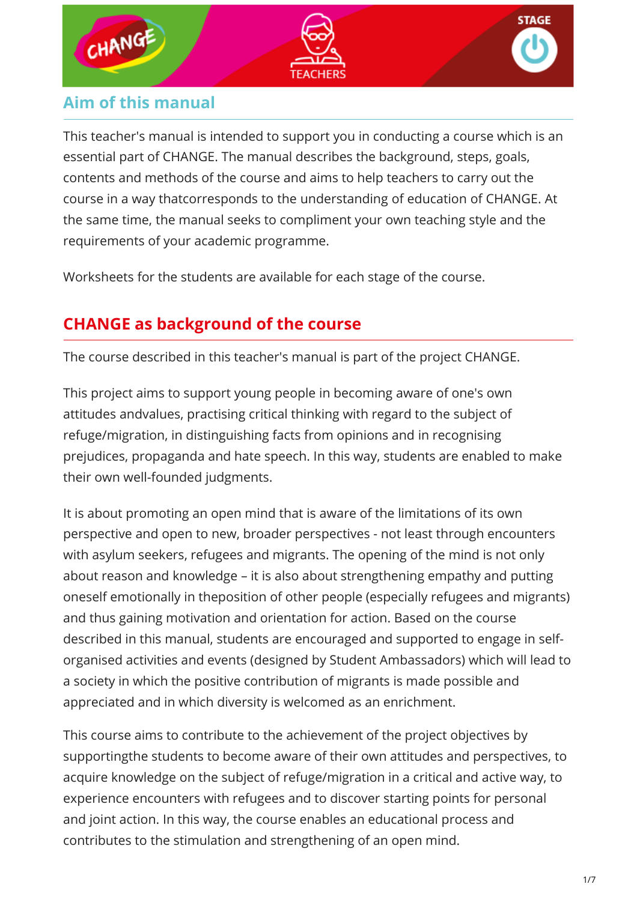

## **Aim of this manual**

This teacher's manual is intended to support you in conducting a course which is an essential part of CHANGE. The manual describes the background, steps, goals, contents and methods of the course and aims to help teachers to carry out the course in a way thatcorresponds to the understanding of education of CHANGE. At the same time, the manual seeks to compliment your own teaching style and the requirements of your academic programme.

Worksheets for the students are available for each stage of the course.

# **CHANGE as background of the course**

The course described in this teacher's manual is part of the project CHANGE.

This project aims to support young people in becoming aware of one's own attitudes andvalues, practising critical thinking with regard to the subject of refuge/migration, in distinguishing facts from opinions and in recognising prejudices, propaganda and hate speech. In this way, students are enabled to make their own well-founded judgments.

It is about promoting an open mind that is aware of the limitations of its own perspective and open to new, broader perspectives - not least through encounters with asylum seekers, refugees and migrants. The opening of the mind is not only about reason and knowledge – it is also about strengthening empathy and putting oneself emotionally in theposition of other people (especially refugees and migrants) and thus gaining motivation and orientation for action. Based on the course described in this manual, students are encouraged and supported to engage in selforganised activities and events (designed by Student Ambassadors) which will lead to a society in which the positive contribution of migrants is made possible and appreciated and in which diversity is welcomed as an enrichment.

This course aims to contribute to the achievement of the project objectives by supportingthe students to become aware of their own attitudes and perspectives, to acquire knowledge on the subject of refuge/migration in a critical and active way, to experience encounters with refugees and to discover starting points for personal and joint action. In this way, the course enables an educational process and contributes to the stimulation and strengthening of an open mind.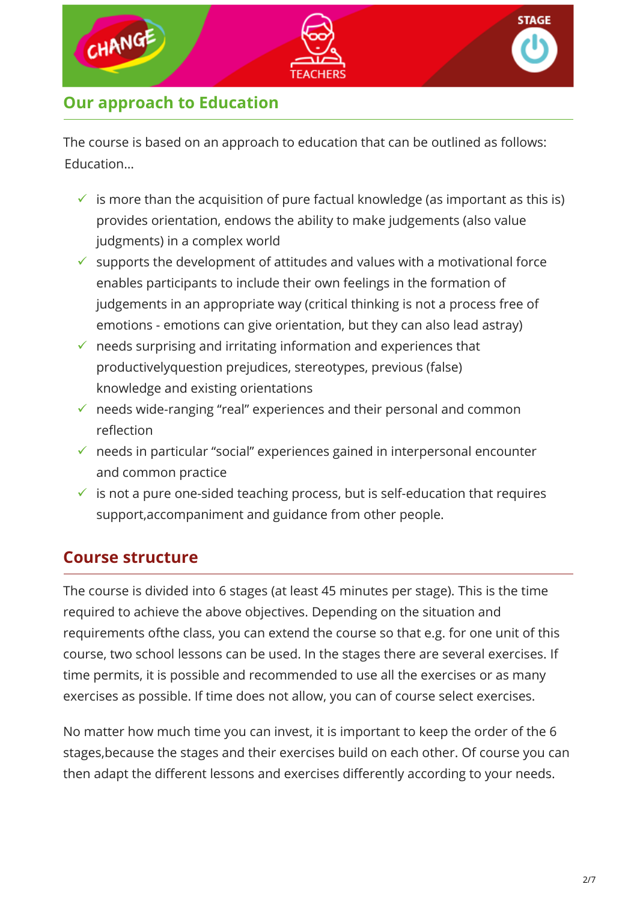

# **Our approach to Education**

The course is based on an approach to education that can be outlined as follows: Education…

- $\checkmark$  is more than the acquisition of pure factual knowledge (as important as this is) provides orientation, endows the ability to make judgements (also value judgments) in a complex world
- $\checkmark$  supports the development of attitudes and values with a motivational force enables participants to include their own feelings in the formation of judgements in an appropriate way (critical thinking is not a process free of emotions - emotions can give orientation, but they can also lead astray)
- $\checkmark$  needs surprising and irritating information and experiences that productivelyquestion prejudices, stereotypes, previous (false) knowledge and existing orientations
- $\checkmark$  needs wide-ranging "real" experiences and their personal and common reflection
- $\checkmark$  needs in particular "social" experiences gained in interpersonal encounter and common practice
- $\checkmark$  is not a pure one-sided teaching process, but is self-education that requires support,accompaniment and guidance from other people.

## **Course structure**

The course is divided into 6 stages (at least 45 minutes per stage). This is the time required to achieve the above objectives. Depending on the situation and requirements ofthe class, you can extend the course so that e.g. for one unit of this course, two school lessons can be used. In the stages there are several exercises. If time permits, it is possible and recommended to use all the exercises or as many exercises as possible. If time does not allow, you can of course select exercises.

No matter how much time you can invest, it is important to keep the order of the 6 stages,because the stages and their exercises build on each other. Of course you can then adapt the different lessons and exercises differently according to your needs.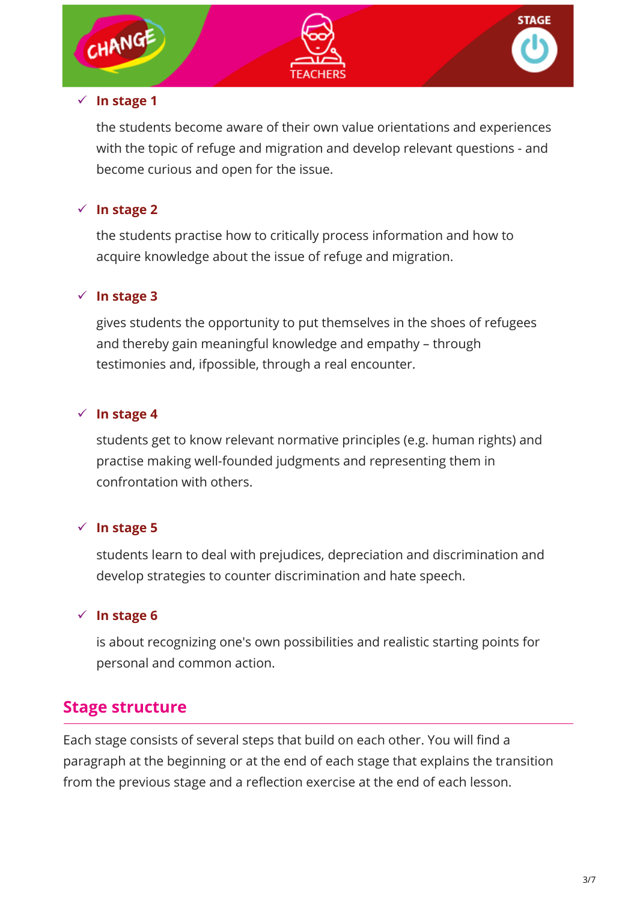

#### **In stage 1**

the students become aware of their own value orientations and experiences with the topic of refuge and migration and develop relevant questions - and become curious and open for the issue.

## **In stage 2**

the students practise how to critically process information and how to acquire knowledge about the issue of refuge and migration.

#### **In stage 3**

gives students the opportunity to put themselves in the shoes of refugees and thereby gain meaningful knowledge and empathy – through testimonies and, ifpossible, through a real encounter.

## **In stage 4**

students get to know relevant normative principles (e.g. human rights) and practise making well-founded judgments and representing them in confrontation with others.

## **In stage 5**

students learn to deal with prejudices, depreciation and discrimination and develop strategies to counter discrimination and hate speech.

## **In stage 6**

is about recognizing one's own possibilities and realistic starting points for personal and common action.

## **Stage structure**

Each stage consists of several steps that build on each other. You will find a paragraph at the beginning or at the end of each stage that explains the transition from the previous stage and a reflection exercise at the end of each lesson.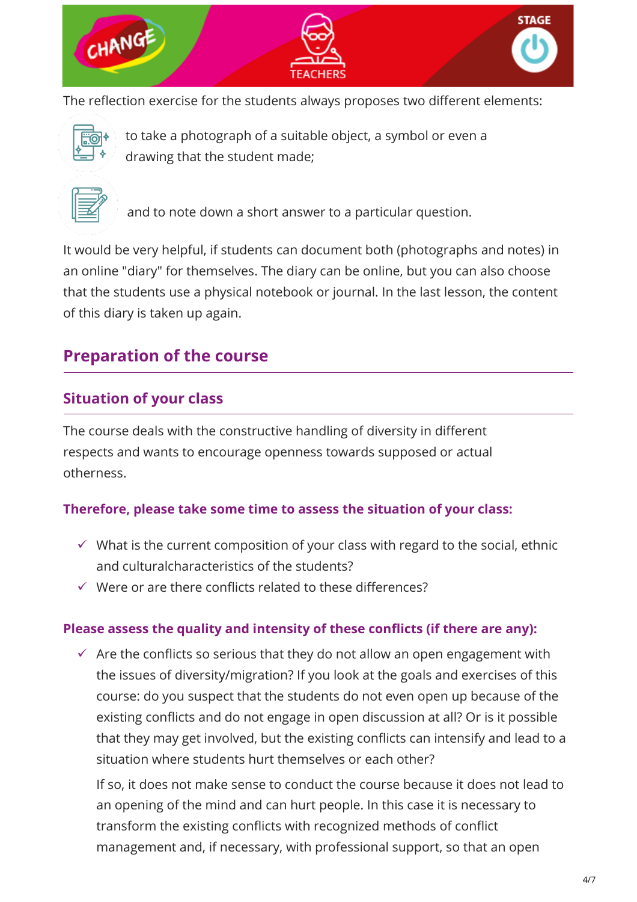

The reflection exercise for the students always proposes two different elements:



to take a photograph of a suitable object, a symbol or even a drawing that the student made;



and to note down a short answer to a particular question.

It would be very helpful, if students can document both (photographs and notes) in an online "diary" for themselves. The diary can be online, but you can also choose that the students use a physical notebook or journal. In the last lesson, the content of this diary is taken up again.

# **Preparation of the course**

## **Situation of your class**

The course deals with the constructive handling of diversity in different respects and wants to encourage openness towards supposed or actual otherness.

#### **Therefore, please take some time to assess the situation of your class:**

- $\checkmark$  What is the current composition of your class with regard to the social, ethnic and culturalcharacteristics of the students?
- $\checkmark$  Were or are there conflicts related to these differences?

#### **Please assess the quality and intensity of these conflicts (if there are any):**

 $\checkmark$  Are the conflicts so serious that they do not allow an open engagement with the issues of diversity/migration? If you look at the goals and exercises of this course: do you suspect that the students do not even open up because of the existing conflicts and do not engage in open discussion at all? Or is it possible that they may get involved, but the existing conflicts can intensify and lead to a situation where students hurt themselves or each other?

If so, it does not make sense to conduct the course because it does not lead to an opening of the mind and can hurt people. In this case it is necessary to transform the existing conflicts with recognized methods of conflict management and, if necessary, with professional support, so that an open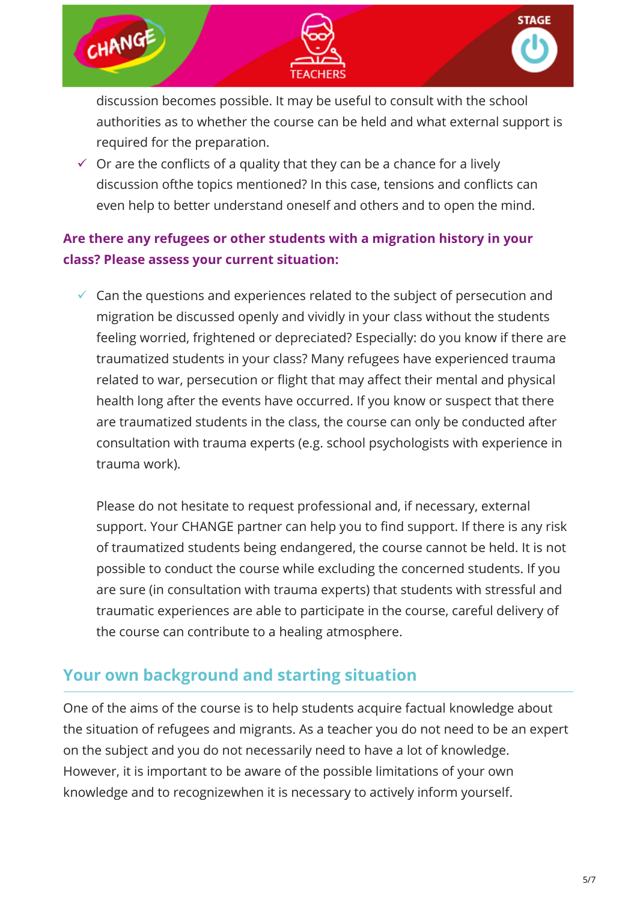

discussion becomes possible. It may be useful to consult with the school authorities as to whether the course can be held and what external support is required for the preparation.

 $\checkmark$  Or are the conflicts of a quality that they can be a chance for a lively discussion ofthe topics mentioned? In this case, tensions and conflicts can even help to better understand oneself and others and to open the mind.

## **Are there any refugees or other students with a migration history in your class? Please assess your current situation:**

 $\checkmark$  Can the questions and experiences related to the subject of persecution and migration be discussed openly and vividly in your class without the students feeling worried, frightened or depreciated? Especially: do you know if there are traumatized students in your class? Many refugees have experienced trauma related to war, persecution or flight that may affect their mental and physical health long after the events have occurred. If you know or suspect that there are traumatized students in the class, the course can only be conducted after consultation with trauma experts (e.g. school psychologists with experience in trauma work).

Please do not hesitate to request professional and, if necessary, external support. Your CHANGE partner can help you to find support. If there is any risk of traumatized students being endangered, the course cannot be held. It is not possible to conduct the course while excluding the concerned students. If you are sure (in consultation with trauma experts) that students with stressful and traumatic experiences are able to participate in the course, careful delivery of the course can contribute to a healing atmosphere.

## **Your own background and starting situation**

One of the aims of the course is to help students acquire factual knowledge about the situation of refugees and migrants. As a teacher you do not need to be an expert on the subject and you do not necessarily need to have a lot of knowledge. However, it is important to be aware of the possible limitations of your own knowledge and to recognizewhen it is necessary to actively inform yourself.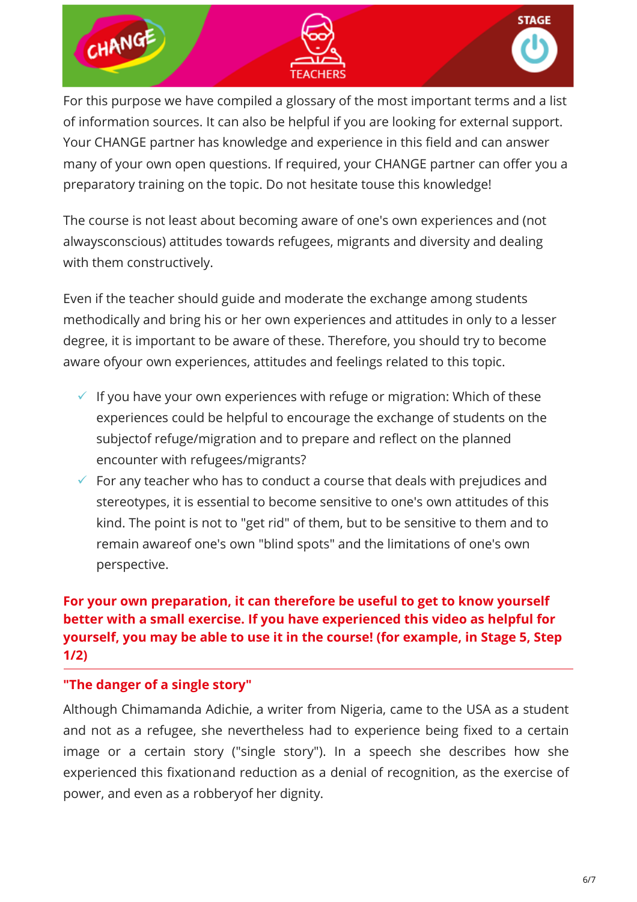

For this purpose we have compiled a glossary of the most important terms and a list of information sources. It can also be helpful if you are looking for external support. Your CHANGE partner has knowledge and experience in this field and can answer many of your own open questions. If required, your CHANGE partner can offer you a preparatory training on the topic. Do not hesitate touse this knowledge!

The course is not least about becoming aware of one's own experiences and (not alwaysconscious) attitudes towards refugees, migrants and diversity and dealing with them constructively.

Even if the teacher should guide and moderate the exchange among students methodically and bring his or her own experiences and attitudes in only to a lesser degree, it is important to be aware of these. Therefore, you should try to become aware ofyour own experiences, attitudes and feelings related to this topic.

- $\checkmark$  If you have your own experiences with refuge or migration: Which of these experiences could be helpful to encourage the exchange of students on the subjectof refuge/migration and to prepare and reflect on the planned encounter with refugees/migrants?
- $\checkmark$  For any teacher who has to conduct a course that deals with prejudices and stereotypes, it is essential to become sensitive to one's own attitudes of this kind. The point is not to "get rid" of them, but to be sensitive to them and to remain awareof one's own "blind spots" and the limitations of one's own perspective.

## **For your own preparation, it can therefore be useful to get to know yourself better with a small exercise. If you have experienced this video as helpful for yourself, you may be able to use it in the course! (for example, in Stage 5, Step 1/2)**

#### **"The danger of a single story"**

Although Chimamanda Adichie, a writer from Nigeria, came to the USA as a student and not as a refugee, she nevertheless had to experience being fixed to a certain image or a certain story ("single story"). In a speech she describes how she experienced this fixationand reduction as a denial of recognition, as the exercise of power, and even as a robberyof her dignity.